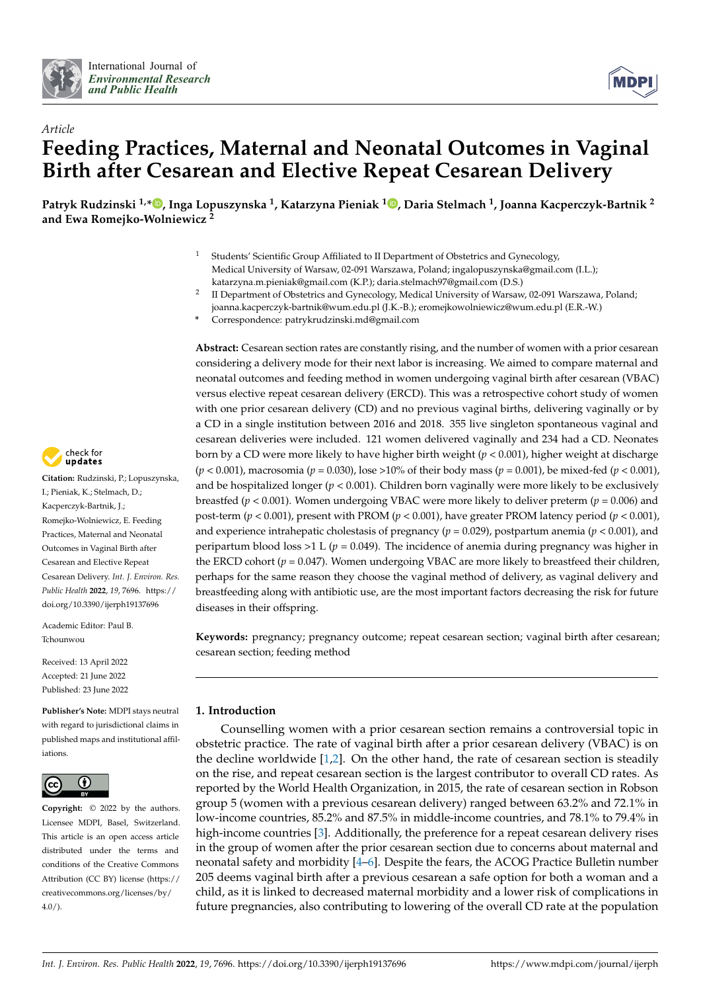



# *Article* **Feeding Practices, Maternal and Neonatal Outcomes in Vaginal Birth after Cesarean and Elective Repeat Cesarean Delivery**

**Patryk Rudzinski 1,[\\*](https://orcid.org/0000-0003-4709-2187) , Inga Lopuszynska <sup>1</sup> , Katarzyna Pieniak <sup>1</sup> [,](https://orcid.org/0000-0003-3915-5758) Daria Stelmach <sup>1</sup> , Joanna Kacperczyk-Bartnik <sup>2</sup> and Ewa Romejko-Wolniewicz <sup>2</sup>**

- Students' Scientific Group Affiliated to II Department of Obstetrics and Gynecology, Medical University of Warsaw, 02-091 Warszawa, Poland; ingalopuszynska@gmail.com (I.L.); katarzyna.m.pieniak@gmail.com (K.P.); daria.stelmach97@gmail.com (D.S.)
- $\overline{2}$ II Department of Obstetrics and Gynecology, Medical University of Warsaw, 02-091 Warszawa, Poland; joanna.kacperczyk-bartnik@wum.edu.pl (J.K.-B.); eromejkowolniewicz@wum.edu.pl (E.R.-W.)
- **\*** Correspondence: patrykrudzinski.md@gmail.com

**Abstract:** Cesarean section rates are constantly rising, and the number of women with a prior cesarean considering a delivery mode for their next labor is increasing. We aimed to compare maternal and neonatal outcomes and feeding method in women undergoing vaginal birth after cesarean (VBAC) versus elective repeat cesarean delivery (ERCD). This was a retrospective cohort study of women with one prior cesarean delivery (CD) and no previous vaginal births, delivering vaginally or by a CD in a single institution between 2016 and 2018. 355 live singleton spontaneous vaginal and cesarean deliveries were included. 121 women delivered vaginally and 234 had a CD. Neonates born by a CD were more likely to have higher birth weight (*p* < 0.001), higher weight at discharge (*p* < 0.001), macrosomia (*p* = 0.030), lose >10% of their body mass (*p* = 0.001), be mixed-fed (*p* < 0.001), and be hospitalized longer (*p* < 0.001). Children born vaginally were more likely to be exclusively breastfed (*p* < 0.001). Women undergoing VBAC were more likely to deliver preterm (*p* = 0.006) and post-term (*p* < 0.001), present with PROM (*p* < 0.001), have greater PROM latency period (*p* < 0.001), and experience intrahepatic cholestasis of pregnancy ( $p = 0.029$ ), postpartum anemia ( $p < 0.001$ ), and peripartum blood loss >1 L ( $p = 0.049$ ). The incidence of anemia during pregnancy was higher in the ERCD cohort ( $p = 0.047$ ). Women undergoing VBAC are more likely to breastfeed their children, perhaps for the same reason they choose the vaginal method of delivery, as vaginal delivery and breastfeeding along with antibiotic use, are the most important factors decreasing the risk for future diseases in their offspring.

**Keywords:** pregnancy; pregnancy outcome; repeat cesarean section; vaginal birth after cesarean; cesarean section; feeding method

# **1. Introduction**

Counselling women with a prior cesarean section remains a controversial topic in obstetric practice. The rate of vaginal birth after a prior cesarean delivery (VBAC) is on the decline worldwide  $[1,2]$  $[1,2]$ . On the other hand, the rate of cesarean section is steadily on the rise, and repeat cesarean section is the largest contributor to overall CD rates. As reported by the World Health Organization, in 2015, the rate of cesarean section in Robson group 5 (women with a previous cesarean delivery) ranged between 63.2% and 72.1% in low-income countries, 85.2% and 87.5% in middle-income countries, and 78.1% to 79.4% in high-income countries [\[3\]](#page-6-2). Additionally, the preference for a repeat cesarean delivery rises in the group of women after the prior cesarean section due to concerns about maternal and neonatal safety and morbidity [\[4–](#page-6-3)[6\]](#page-6-4). Despite the fears, the ACOG Practice Bulletin number 205 deems vaginal birth after a previous cesarean a safe option for both a woman and a child, as it is linked to decreased maternal morbidity and a lower risk of complications in future pregnancies, also contributing to lowering of the overall CD rate at the population



**Citation:** Rudzinski, P.; Lopuszynska, I.; Pieniak, K.; Stelmach, D.; Kacperczyk-Bartnik, J.; Romejko-Wolniewicz, E. Feeding Practices, Maternal and Neonatal Outcomes in Vaginal Birth after Cesarean and Elective Repeat Cesarean Delivery. *Int. J. Environ. Res. Public Health* **2022**, *19*, 7696. [https://](https://doi.org/10.3390/ijerph19137696) [doi.org/10.3390/ijerph19137696](https://doi.org/10.3390/ijerph19137696)

Academic Editor: Paul B. Tchounwou

Received: 13 April 2022 Accepted: 21 June 2022 Published: 23 June 2022

**Publisher's Note:** MDPI stays neutral with regard to jurisdictional claims in published maps and institutional affiliations.



**Copyright:** © 2022 by the authors. Licensee MDPI, Basel, Switzerland. This article is an open access article distributed under the terms and conditions of the Creative Commons Attribution (CC BY) license [\(https://](https://creativecommons.org/licenses/by/4.0/) [creativecommons.org/licenses/by/](https://creativecommons.org/licenses/by/4.0/)  $4.0/$ ).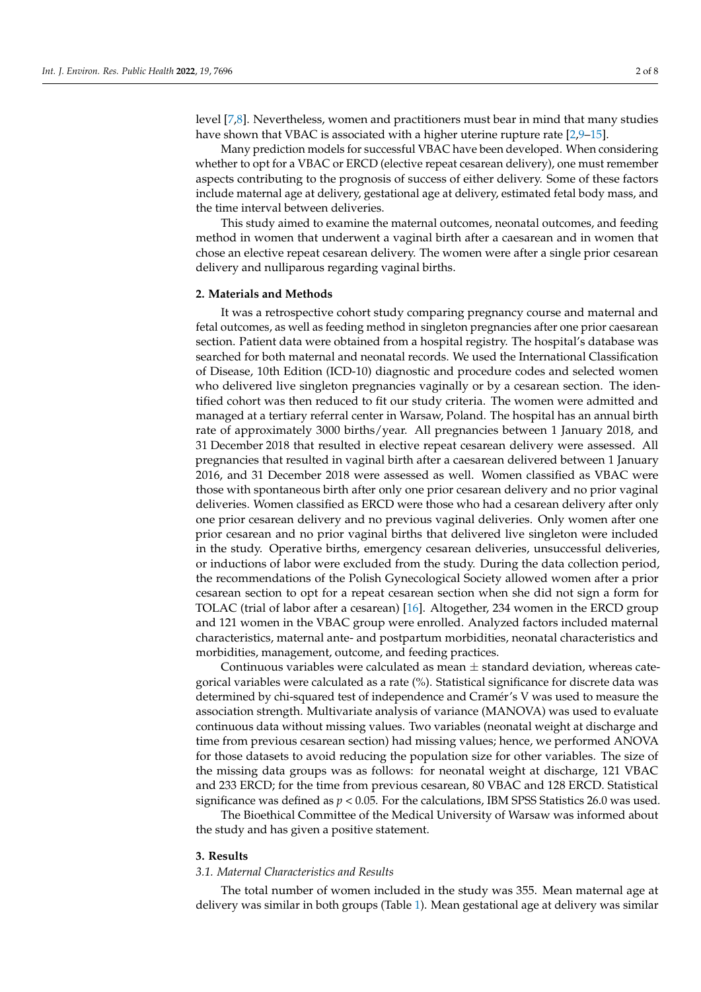level [\[7,](#page-7-0)[8\]](#page-7-1). Nevertheless, women and practitioners must bear in mind that many studies have shown that VBAC is associated with a higher uterine rupture rate [\[2,](#page-6-1)[9–](#page-7-2)[15\]](#page-7-3).

Many prediction models for successful VBAC have been developed. When considering whether to opt for a VBAC or ERCD (elective repeat cesarean delivery), one must remember aspects contributing to the prognosis of success of either delivery. Some of these factors include maternal age at delivery, gestational age at delivery, estimated fetal body mass, and the time interval between deliveries.

This study aimed to examine the maternal outcomes, neonatal outcomes, and feeding method in women that underwent a vaginal birth after a caesarean and in women that chose an elective repeat cesarean delivery. The women were after a single prior cesarean delivery and nulliparous regarding vaginal births.

#### **2. Materials and Methods**

It was a retrospective cohort study comparing pregnancy course and maternal and fetal outcomes, as well as feeding method in singleton pregnancies after one prior caesarean section. Patient data were obtained from a hospital registry. The hospital's database was searched for both maternal and neonatal records. We used the International Classification of Disease, 10th Edition (ICD-10) diagnostic and procedure codes and selected women who delivered live singleton pregnancies vaginally or by a cesarean section. The identified cohort was then reduced to fit our study criteria. The women were admitted and managed at a tertiary referral center in Warsaw, Poland. The hospital has an annual birth rate of approximately 3000 births/year. All pregnancies between 1 January 2018, and 31 December 2018 that resulted in elective repeat cesarean delivery were assessed. All pregnancies that resulted in vaginal birth after a caesarean delivered between 1 January 2016, and 31 December 2018 were assessed as well. Women classified as VBAC were those with spontaneous birth after only one prior cesarean delivery and no prior vaginal deliveries. Women classified as ERCD were those who had a cesarean delivery after only one prior cesarean delivery and no previous vaginal deliveries. Only women after one prior cesarean and no prior vaginal births that delivered live singleton were included in the study. Operative births, emergency cesarean deliveries, unsuccessful deliveries, or inductions of labor were excluded from the study. During the data collection period, the recommendations of the Polish Gynecological Society allowed women after a prior cesarean section to opt for a repeat cesarean section when she did not sign a form for TOLAC (trial of labor after a cesarean) [\[16\]](#page-7-4). Altogether, 234 women in the ERCD group and 121 women in the VBAC group were enrolled. Analyzed factors included maternal characteristics, maternal ante- and postpartum morbidities, neonatal characteristics and morbidities, management, outcome, and feeding practices.

Continuous variables were calculated as mean  $\pm$  standard deviation, whereas categorical variables were calculated as a rate (%). Statistical significance for discrete data was determined by chi-squared test of independence and Cramér's V was used to measure the association strength. Multivariate analysis of variance (MANOVA) was used to evaluate continuous data without missing values. Two variables (neonatal weight at discharge and time from previous cesarean section) had missing values; hence, we performed ANOVA for those datasets to avoid reducing the population size for other variables. The size of the missing data groups was as follows: for neonatal weight at discharge, 121 VBAC and 233 ERCD; for the time from previous cesarean, 80 VBAC and 128 ERCD. Statistical significance was defined as  $p < 0.05$ . For the calculations, IBM SPSS Statistics 26.0 was used.

The Bioethical Committee of the Medical University of Warsaw was informed about the study and has given a positive statement.

#### **3. Results**

# *3.1. Maternal Characteristics and Results*

The total number of women included in the study was 355. Mean maternal age at delivery was similar in both groups (Table [1\)](#page-2-0). Mean gestational age at delivery was similar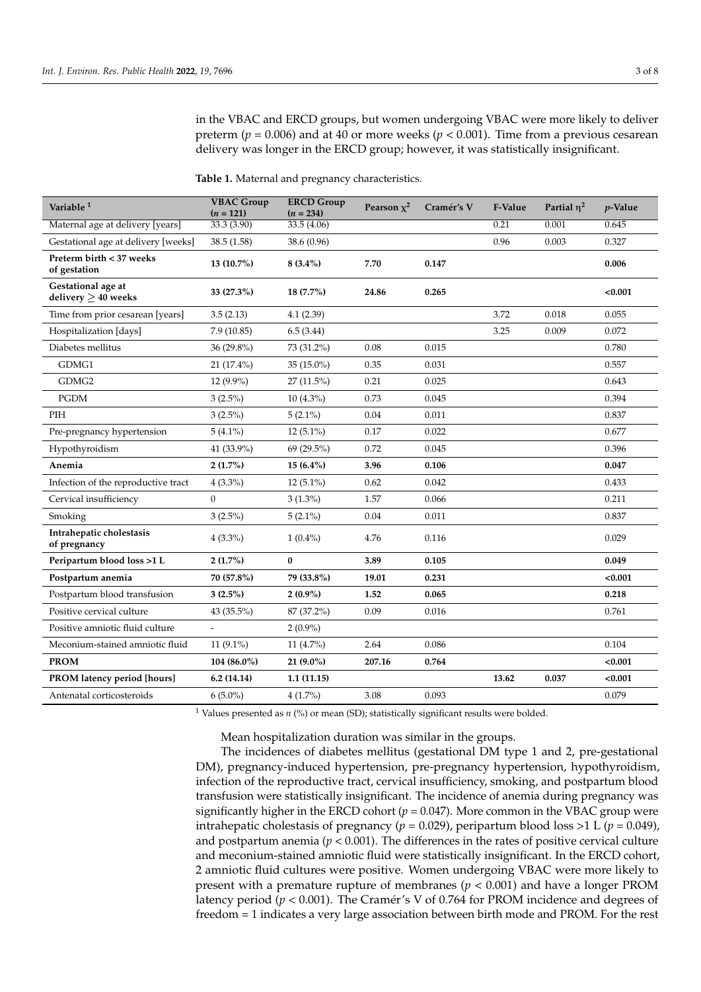in the VBAC and ERCD groups, but women undergoing VBAC were more likely to deliver preterm ( $p = 0.006$ ) and at 40 or more weeks ( $p < 0.001$ ). Time from a previous cesarean delivery was longer in the ERCD group; however, it was statistically insignificant.

<span id="page-2-0"></span>**Table 1.** Maternal and pregnancy characteristics.

| Variable <sup>1</sup>                          | <b>VBAC Group</b><br>$(n = 121)$ | <b>ERCD Group</b><br>$(n = 234)$ | Pearson $\chi^2$ | Cramér's V | F-Value | Partial $n^2$ | $p$ -Value |
|------------------------------------------------|----------------------------------|----------------------------------|------------------|------------|---------|---------------|------------|
| Maternal age at delivery [years]               | 33.3(3.90)                       | 33.5(4.06)                       |                  |            | 0.21    | 0.001         | 0.645      |
| Gestational age at delivery [weeks]            | 38.5(1.58)                       | 38.6 (0.96)                      |                  |            | 0.96    | 0.003         | 0.327      |
| Preterm birth < 37 weeks<br>of gestation       | 13 (10.7%)                       | $8(3.4\%)$                       | 7.70             | 0.147      |         |               | 0.006      |
| Gestational age at<br>delivery $\geq 40$ weeks | 33 (27.3%)                       | 18 (7.7%)                        | 24.86            | 0.265      |         |               | < 0.001    |
| Time from prior cesarean [years]               | 3.5(2.13)                        | 4.1(2.39)                        |                  |            | 3.72    | 0.018         | 0.055      |
| Hospitalization [days]                         | 7.9(10.85)                       | 6.5(3.44)                        |                  |            | 3.25    | 0.009         | 0.072      |
| Diabetes mellitus                              | 36 (29.8%)                       | 73 (31.2%)                       | 0.08             | 0.015      |         |               | 0.780      |
| GDMG1                                          | $21(17.4\%)$                     | 35 (15.0%)                       | 0.35             | 0.031      |         |               | 0.557      |
| GDMG2                                          | $12(9.9\%)$                      | 27 (11.5%)                       | 0.21             | 0.025      |         |               | 0.643      |
| <b>PGDM</b>                                    | $3(2.5\%)$                       | $10(4.3\%)$                      | 0.73             | 0.045      |         |               | 0.394      |
| PIH                                            | $3(2.5\%)$                       | $5(2.1\%)$                       | 0.04             | 0.011      |         |               | 0.837      |
| Pre-pregnancy hypertension                     | $5(4.1\%)$                       | $12(5.1\%)$                      | 0.17             | 0.022      |         |               | 0.677      |
| Hypothyroidism                                 | 41 (33.9%)                       | 69 (29.5%)                       | 0.72             | 0.045      |         |               | 0.396      |
| Anemia                                         | $2(1.7\%)$                       | 15 (6.4%)                        | 3.96             | 0.106      |         |               | 0.047      |
| Infection of the reproductive tract            | $4(3.3\%)$                       | $12(5.1\%)$                      | 0.62             | 0.042      |         |               | 0.433      |
| Cervical insufficiency                         | $\overline{0}$                   | $3(1.3\%)$                       | 1.57             | 0.066      |         |               | 0.211      |
| Smoking                                        | $3(2.5\%)$                       | $5(2.1\%)$                       | 0.04             | 0.011      |         |               | 0.837      |
| Intrahepatic cholestasis<br>of pregnancy       | $4(3.3\%)$                       | $1(0.4\%)$                       | 4.76             | 0.116      |         |               | 0.029      |
| Peripartum blood loss >1L                      | $2(1.7\%)$                       | $\bf{0}$                         | 3.89             | 0.105      |         |               | 0.049      |
| Postpartum anemia                              | 70 (57.8%)                       | 79 (33.8%)                       | 19.01            | 0.231      |         |               | < 0.001    |
| Postpartum blood transfusion                   | $3(2.5\%)$                       | $2(0.9\%)$                       | 1.52             | 0.065      |         |               | 0.218      |
| Positive cervical culture                      | 43 (35.5%)                       | 87 (37.2%)                       | 0.09             | 0.016      |         |               | 0.761      |
| Positive amniotic fluid culture                |                                  | $2(0.9\%)$                       |                  |            |         |               |            |
| Meconium-stained amniotic fluid                | 11 $(9.1\%)$                     | 11 $(4.7\%)$                     | 2.64             | 0.086      |         |               | 0.104      |
| <b>PROM</b>                                    | 104 (86.0%)                      | $21(9.0\%)$                      | 207.16           | 0.764      |         |               | < 0.001    |
| PROM latency period [hours]                    | 6.2(14.14)                       | 1.1(11.15)                       |                  |            | 13.62   | 0.037         | < 0.001    |
| Antenatal corticosteroids                      | $6(5.0\%)$                       | $4(1.7\%)$                       | 3.08             | 0.093      |         |               | 0.079      |

<sup>1</sup> Values presented as  $n$  (%) or mean (SD); statistically significant results were bolded.

Mean hospitalization duration was similar in the groups.

The incidences of diabetes mellitus (gestational DM type 1 and 2, pre-gestational DM), pregnancy-induced hypertension, pre-pregnancy hypertension, hypothyroidism, infection of the reproductive tract, cervical insufficiency, smoking, and postpartum blood transfusion were statistically insignificant. The incidence of anemia during pregnancy was significantly higher in the ERCD cohort ( $p = 0.047$ ). More common in the VBAC group were intrahepatic cholestasis of pregnancy ( $p = 0.029$ ), peripartum blood loss >1 L ( $p = 0.049$ ), and postpartum anemia ( $p < 0.001$ ). The differences in the rates of positive cervical culture and meconium-stained amniotic fluid were statistically insignificant. In the ERCD cohort, 2 amniotic fluid cultures were positive. Women undergoing VBAC were more likely to present with a premature rupture of membranes (*p* < 0.001) and have a longer PROM latency period (*p* < 0.001). The Cramér's V of 0.764 for PROM incidence and degrees of freedom = 1 indicates a very large association between birth mode and PROM. For the rest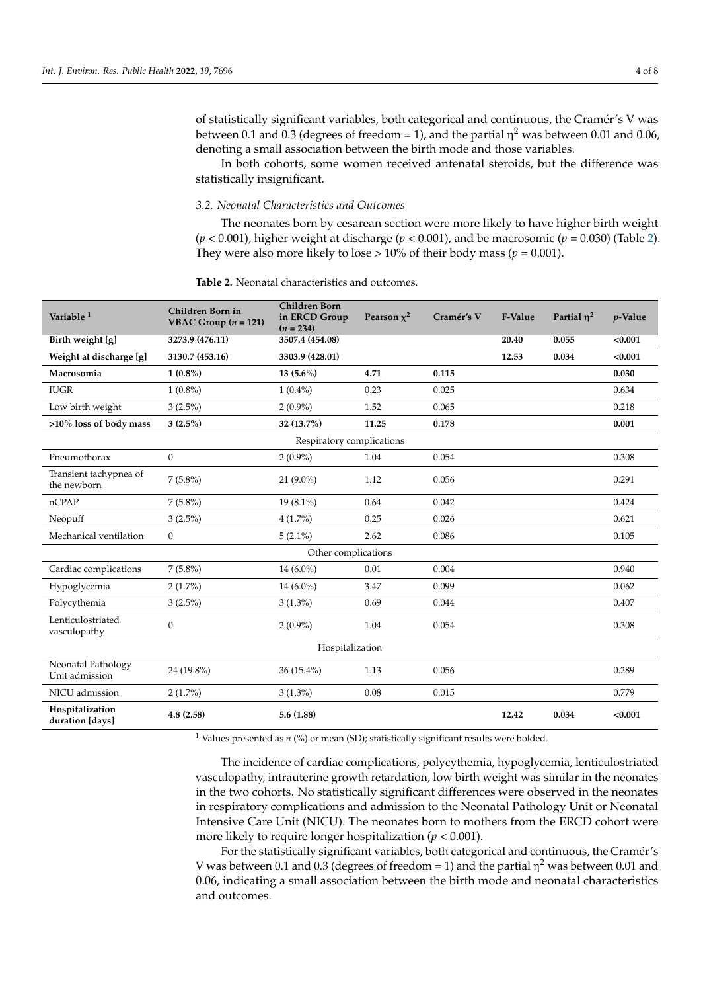In both cohorts, some women received antenatal steroids, but the difference was statistically insignificant.

# *3.2. Neonatal Characteristics and Outcomes*

The neonates born by cesarean section were more likely to have higher birth weight (*p* < 0.001), higher weight at discharge (*p* < 0.001), and be macrosomic (*p* = 0.030) (Table [2\)](#page-3-0). They were also more likely to lose  $> 10\%$  of their body mass ( $p = 0.001$ ).

<span id="page-3-0"></span>

| <b>Table 2.</b> Neonatal characteristics and outcomes. |  |
|--------------------------------------------------------|--|
|                                                        |  |

| Variable <sup>1</sup>                 | Children Born in<br><b>VBAC Group</b> $(n = 121)$ | <b>Children Born</b><br>in ERCD Group<br>$(n = 234)$ | Pearson $x^2$ | Cramér's V | F-Value | Partial $\eta^2$ | $p$ -Value |
|---------------------------------------|---------------------------------------------------|------------------------------------------------------|---------------|------------|---------|------------------|------------|
| Birth weight [g]                      | 3273.9 (476.11)                                   | 3507.4 (454.08)                                      |               |            | 20.40   | 0.055            | < 0.001    |
| Weight at discharge [g]               | 3130.7 (453.16)                                   | 3303.9 (428.01)                                      |               |            | 12.53   | 0.034            | < 0.001    |
| Macrosomia                            | $1(0.8\%)$                                        | $13(5.6\%)$                                          | 4.71          | 0.115      |         |                  | 0.030      |
| <b>IUGR</b>                           | $1(0.8\%)$                                        | $1(0.4\%)$                                           | 0.23          | 0.025      |         |                  | 0.634      |
| Low birth weight                      | $3(2.5\%)$                                        | $2(0.9\%)$                                           | 1.52          | 0.065      |         |                  | 0.218      |
| >10% loss of body mass                | $3(2.5\%)$                                        | 32 (13.7%)                                           | 11.25         | 0.178      |         |                  | 0.001      |
| Respiratory complications             |                                                   |                                                      |               |            |         |                  |            |
| Pneumothorax                          | $\overline{0}$                                    | $2(0.9\%)$                                           | 1.04          | 0.054      |         |                  | 0.308      |
| Transient tachypnea of<br>the newborn | $7(5.8\%)$                                        | $21(9.0\%)$                                          | 1.12          | 0.056      |         |                  | 0.291      |
| nCPAP                                 | $7(5.8\%)$                                        | $19(8.1\%)$                                          | 0.64          | 0.042      |         |                  | 0.424      |
| Neopuff                               | $3(2.5\%)$                                        | $4(1.7\%)$                                           | 0.25          | 0.026      |         |                  | 0.621      |
| Mechanical ventilation                | $\overline{0}$                                    | $5(2.1\%)$                                           | 2.62          | 0.086      |         |                  | 0.105      |
| Other complications                   |                                                   |                                                      |               |            |         |                  |            |
| Cardiac complications                 | $7(5.8\%)$                                        | 14 $(6.0\%)$                                         | 0.01          | 0.004      |         |                  | 0.940      |
| Hypoglycemia                          | $2(1.7\%)$                                        | $14(6.0\%)$                                          | 3.47          | 0.099      |         |                  | 0.062      |
| Polycythemia                          | $3(2.5\%)$                                        | $3(1.3\%)$                                           | 0.69          | 0.044      |         |                  | 0.407      |
| Lenticulostriated<br>vasculopathy     | $\overline{0}$                                    | $2(0.9\%)$                                           | 1.04          | 0.054      |         |                  | 0.308      |
| Hospitalization                       |                                                   |                                                      |               |            |         |                  |            |
| Neonatal Pathology<br>Unit admission  | 24 (19.8%)                                        | 36 (15.4%)                                           | 1.13          | 0.056      |         |                  | 0.289      |
| NICU admission                        | $2(1.7\%)$                                        | $3(1.3\%)$                                           | 0.08          | 0.015      |         |                  | 0.779      |
| Hospitalization<br>duration [days]    | 4.8(2.58)                                         | 5.6(1.88)                                            |               |            | 12.42   | 0.034            | < 0.001    |

<sup>1</sup> Values presented as  $n$  (%) or mean (SD); statistically significant results were bolded.

The incidence of cardiac complications, polycythemia, hypoglycemia, lenticulostriated vasculopathy, intrauterine growth retardation, low birth weight was similar in the neonates in the two cohorts. No statistically significant differences were observed in the neonates in respiratory complications and admission to the Neonatal Pathology Unit or Neonatal Intensive Care Unit (NICU). The neonates born to mothers from the ERCD cohort were more likely to require longer hospitalization (*p* < 0.001).

For the statistically significant variables, both categorical and continuous, the Cramér's V was between 0.1 and 0.3 (degrees of freedom = 1) and the partial  $\eta^2$  was between 0.01 and 0.06, indicating a small association between the birth mode and neonatal characteristics and outcomes.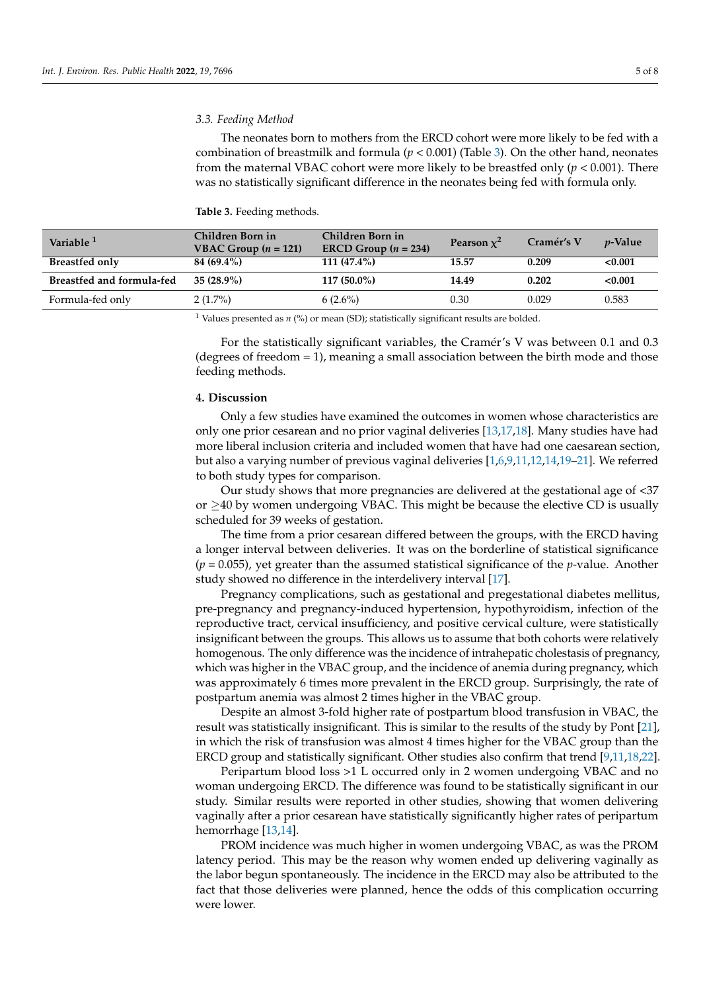# *3.3. Feeding Method*

The neonates born to mothers from the ERCD cohort were more likely to be fed with a combination of breastmilk and formula ( $p < 0.001$ ) (Table [3\)](#page-4-0). On the other hand, neonates from the maternal VBAC cohort were more likely to be breastfed only (*p* < 0.001). There was no statistically significant difference in the neonates being fed with formula only.

<span id="page-4-0"></span>

|  |  | Table 3. Feeding methods. |
|--|--|---------------------------|
|--|--|---------------------------|

| Variable <sup>1</sup>     | Children Born in<br><b>VBAC Group</b> $(n = 121)$ | Children Born in<br>ERCD Group $(n = 234)$ | Pearson $x^2$ | Cramér's V | <i>v</i> -Value |
|---------------------------|---------------------------------------------------|--------------------------------------------|---------------|------------|-----------------|
| <b>Breastfed only</b>     | 84 (69.4%)                                        | $111(47.4\%)$                              | 15.57         | 0.209      | < 0.001         |
| Breastfed and formula-fed | $35(28.9\%)$                                      | $117(50.0\%)$                              | 14.49         | 0.202      | < 0.001         |
| Formula-fed only          | $2(1.7\%)$                                        | $6(2.6\%)$                                 | 0.30          | 0.029      | 0.583           |

<sup>1</sup> Values presented as  $n$  (%) or mean (SD); statistically significant results are bolded.

For the statistically significant variables, the Cramér's V was between 0.1 and 0.3 (degrees of freedom = 1), meaning a small association between the birth mode and those feeding methods.

#### **4. Discussion**

Only a few studies have examined the outcomes in women whose characteristics are only one prior cesarean and no prior vaginal deliveries [\[13](#page-7-5)[,17](#page-7-6)[,18\]](#page-7-7). Many studies have had more liberal inclusion criteria and included women that have had one caesarean section, but also a varying number of previous vaginal deliveries [\[1](#page-6-0)[,6](#page-6-4)[,9,](#page-7-2)[11,](#page-7-8)[12,](#page-7-9)[14](#page-7-10)[,19](#page-7-11)[–21\]](#page-7-12). We referred to both study types for comparison.

Our study shows that more pregnancies are delivered at the gestational age of <37 or  $\geq$ 40 by women undergoing VBAC. This might be because the elective CD is usually scheduled for 39 weeks of gestation.

The time from a prior cesarean differed between the groups, with the ERCD having a longer interval between deliveries. It was on the borderline of statistical significance (*p* = 0.055), yet greater than the assumed statistical significance of the *p*-value. Another study showed no difference in the interdelivery interval [\[17\]](#page-7-6).

Pregnancy complications, such as gestational and pregestational diabetes mellitus, pre-pregnancy and pregnancy-induced hypertension, hypothyroidism, infection of the reproductive tract, cervical insufficiency, and positive cervical culture, were statistically insignificant between the groups. This allows us to assume that both cohorts were relatively homogenous. The only difference was the incidence of intrahepatic cholestasis of pregnancy, which was higher in the VBAC group, and the incidence of anemia during pregnancy, which was approximately 6 times more prevalent in the ERCD group. Surprisingly, the rate of postpartum anemia was almost 2 times higher in the VBAC group.

Despite an almost 3-fold higher rate of postpartum blood transfusion in VBAC, the result was statistically insignificant. This is similar to the results of the study by Pont [\[21\]](#page-7-12), in which the risk of transfusion was almost 4 times higher for the VBAC group than the ERCD group and statistically significant. Other studies also confirm that trend [\[9](#page-7-2)[,11](#page-7-8)[,18,](#page-7-7)[22\]](#page-7-13).

Peripartum blood loss >1 L occurred only in 2 women undergoing VBAC and no woman undergoing ERCD. The difference was found to be statistically significant in our study. Similar results were reported in other studies, showing that women delivering vaginally after a prior cesarean have statistically significantly higher rates of peripartum hemorrhage [\[13,](#page-7-5)[14\]](#page-7-10).

PROM incidence was much higher in women undergoing VBAC, as was the PROM latency period. This may be the reason why women ended up delivering vaginally as the labor begun spontaneously. The incidence in the ERCD may also be attributed to the fact that those deliveries were planned, hence the odds of this complication occurring were lower.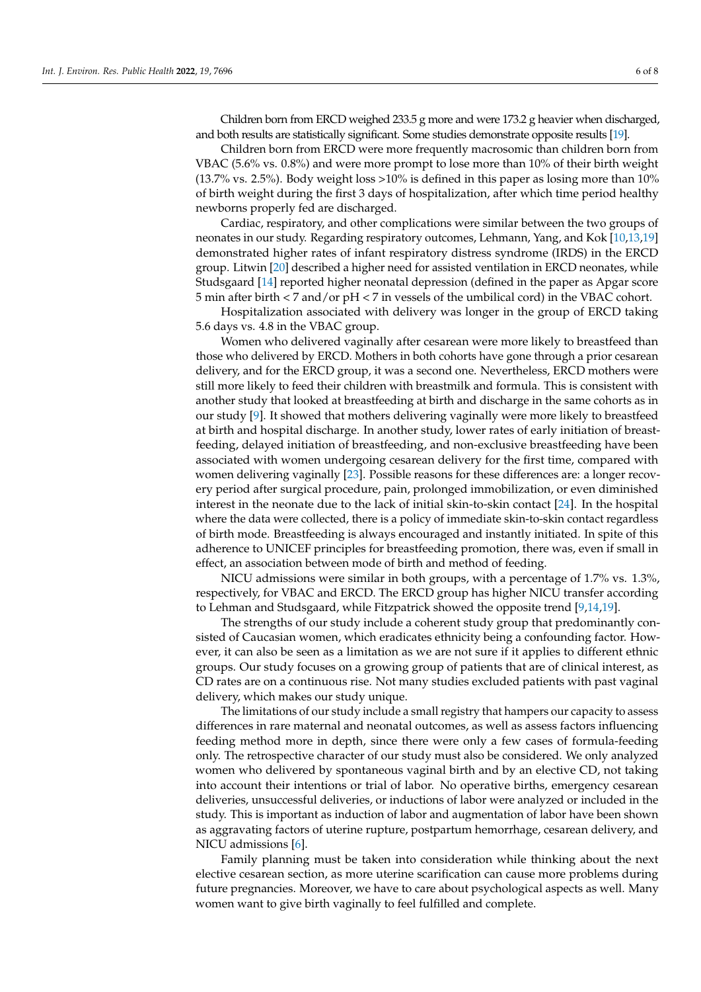Children born from ERCD weighed 233.5 g more and were 173.2 g heavier when discharged, and both results are statistically significant. Some studies demonstrate opposite results [\[19\]](#page-7-11).

Children born from ERCD were more frequently macrosomic than children born from VBAC (5.6% vs. 0.8%) and were more prompt to lose more than 10% of their birth weight (13.7% vs. 2.5%). Body weight loss >10% is defined in this paper as losing more than 10% of birth weight during the first 3 days of hospitalization, after which time period healthy newborns properly fed are discharged.

Cardiac, respiratory, and other complications were similar between the two groups of neonates in our study. Regarding respiratory outcomes, Lehmann, Yang, and Kok [\[10,](#page-7-14)[13,](#page-7-5)[19\]](#page-7-11) demonstrated higher rates of infant respiratory distress syndrome (IRDS) in the ERCD group. Litwin [\[20\]](#page-7-15) described a higher need for assisted ventilation in ERCD neonates, while Studsgaard [\[14\]](#page-7-10) reported higher neonatal depression (defined in the paper as Apgar score 5 min after birth < 7 and/or pH < 7 in vessels of the umbilical cord) in the VBAC cohort.

Hospitalization associated with delivery was longer in the group of ERCD taking 5.6 days vs. 4.8 in the VBAC group.

Women who delivered vaginally after cesarean were more likely to breastfeed than those who delivered by ERCD. Mothers in both cohorts have gone through a prior cesarean delivery, and for the ERCD group, it was a second one. Nevertheless, ERCD mothers were still more likely to feed their children with breastmilk and formula. This is consistent with another study that looked at breastfeeding at birth and discharge in the same cohorts as in our study [\[9\]](#page-7-2). It showed that mothers delivering vaginally were more likely to breastfeed at birth and hospital discharge. In another study, lower rates of early initiation of breastfeeding, delayed initiation of breastfeeding, and non-exclusive breastfeeding have been associated with women undergoing cesarean delivery for the first time, compared with women delivering vaginally [\[23\]](#page-7-16). Possible reasons for these differences are: a longer recovery period after surgical procedure, pain, prolonged immobilization, or even diminished interest in the neonate due to the lack of initial skin-to-skin contact [\[24\]](#page-7-17). In the hospital where the data were collected, there is a policy of immediate skin-to-skin contact regardless of birth mode. Breastfeeding is always encouraged and instantly initiated. In spite of this adherence to UNICEF principles for breastfeeding promotion, there was, even if small in effect, an association between mode of birth and method of feeding.

NICU admissions were similar in both groups, with a percentage of 1.7% vs. 1.3%, respectively, for VBAC and ERCD. The ERCD group has higher NICU transfer according to Lehman and Studsgaard, while Fitzpatrick showed the opposite trend [\[9](#page-7-2)[,14](#page-7-10)[,19\]](#page-7-11).

The strengths of our study include a coherent study group that predominantly consisted of Caucasian women, which eradicates ethnicity being a confounding factor. However, it can also be seen as a limitation as we are not sure if it applies to different ethnic groups. Our study focuses on a growing group of patients that are of clinical interest, as CD rates are on a continuous rise. Not many studies excluded patients with past vaginal delivery, which makes our study unique.

The limitations of our study include a small registry that hampers our capacity to assess differences in rare maternal and neonatal outcomes, as well as assess factors influencing feeding method more in depth, since there were only a few cases of formula-feeding only. The retrospective character of our study must also be considered. We only analyzed women who delivered by spontaneous vaginal birth and by an elective CD, not taking into account their intentions or trial of labor. No operative births, emergency cesarean deliveries, unsuccessful deliveries, or inductions of labor were analyzed or included in the study. This is important as induction of labor and augmentation of labor have been shown as aggravating factors of uterine rupture, postpartum hemorrhage, cesarean delivery, and NICU admissions [\[6\]](#page-6-4).

Family planning must be taken into consideration while thinking about the next elective cesarean section, as more uterine scarification can cause more problems during future pregnancies. Moreover, we have to care about psychological aspects as well. Many women want to give birth vaginally to feel fulfilled and complete.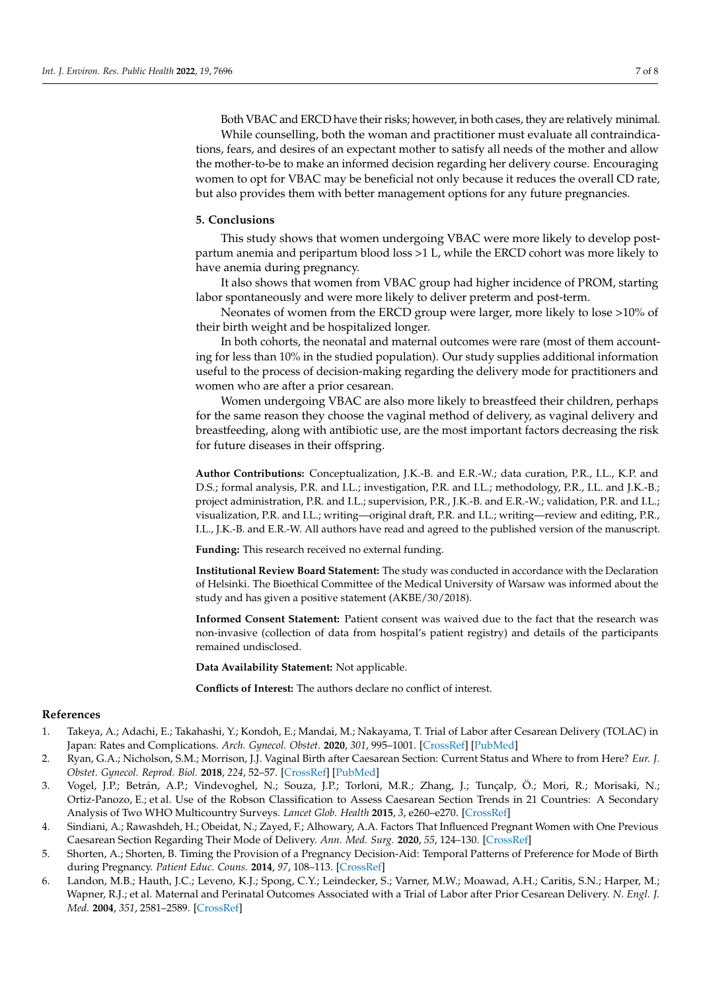Both VBAC and ERCD have their risks; however, in both cases, they are relatively minimal. While counselling, both the woman and practitioner must evaluate all contraindications, fears, and desires of an expectant mother to satisfy all needs of the mother and allow the mother-to-be to make an informed decision regarding her delivery course. Encouraging women to opt for VBAC may be beneficial not only because it reduces the overall CD rate, but also provides them with better management options for any future pregnancies.

#### **5. Conclusions**

This study shows that women undergoing VBAC were more likely to develop postpartum anemia and peripartum blood loss >1 L, while the ERCD cohort was more likely to have anemia during pregnancy.

It also shows that women from VBAC group had higher incidence of PROM, starting labor spontaneously and were more likely to deliver preterm and post-term.

Neonates of women from the ERCD group were larger, more likely to lose >10% of their birth weight and be hospitalized longer.

In both cohorts, the neonatal and maternal outcomes were rare (most of them accounting for less than 10% in the studied population). Our study supplies additional information useful to the process of decision-making regarding the delivery mode for practitioners and women who are after a prior cesarean.

Women undergoing VBAC are also more likely to breastfeed their children, perhaps for the same reason they choose the vaginal method of delivery, as vaginal delivery and breastfeeding, along with antibiotic use, are the most important factors decreasing the risk for future diseases in their offspring.

**Author Contributions:** Conceptualization, J.K.-B. and E.R.-W.; data curation, P.R., I.L., K.P. and D.S.; formal analysis, P.R. and I.L.; investigation, P.R. and I.L.; methodology, P.R., I.L. and J.K.-B.; project administration, P.R. and I.L.; supervision, P.R., J.K.-B. and E.R.-W.; validation, P.R. and I.L.; visualization, P.R. and I.L.; writing—original draft, P.R. and I.L.; writing—review and editing, P.R., I.L., J.K.-B. and E.R.-W. All authors have read and agreed to the published version of the manuscript.

**Funding:** This research received no external funding.

**Institutional Review Board Statement:** The study was conducted in accordance with the Declaration of Helsinki. The Bioethical Committee of the Medical University of Warsaw was informed about the study and has given a positive statement (AKBE/30/2018).

**Informed Consent Statement:** Patient consent was waived due to the fact that the research was non-invasive (collection of data from hospital's patient registry) and details of the participants remained undisclosed.

**Data Availability Statement:** Not applicable.

**Conflicts of Interest:** The authors declare no conflict of interest.

# **References**

- <span id="page-6-0"></span>1. Takeya, A.; Adachi, E.; Takahashi, Y.; Kondoh, E.; Mandai, M.; Nakayama, T. Trial of Labor after Cesarean Delivery (TOLAC) in Japan: Rates and Complications. *Arch. Gynecol. Obstet.* **2020**, *301*, 995–1001. [\[CrossRef\]](http://doi.org/10.1007/s00404-020-05492-8) [\[PubMed\]](http://www.ncbi.nlm.nih.gov/pubmed/32185554)
- <span id="page-6-1"></span>2. Ryan, G.A.; Nicholson, S.M.; Morrison, J.J. Vaginal Birth after Caesarean Section: Current Status and Where to from Here? *Eur. J. Obstet. Gynecol. Reprod. Biol.* **2018**, *224*, 52–57. [\[CrossRef\]](http://doi.org/10.1016/j.ejogrb.2018.02.011) [\[PubMed\]](http://www.ncbi.nlm.nih.gov/pubmed/29547806)
- <span id="page-6-2"></span>3. Vogel, J.P.; Betrán, A.P.; Vindevoghel, N.; Souza, J.P.; Torloni, M.R.; Zhang, J.; Tunçalp, Ö.; Mori, R.; Morisaki, N.; Ortiz-Panozo, E.; et al. Use of the Robson Classification to Assess Caesarean Section Trends in 21 Countries: A Secondary Analysis of Two WHO Multicountry Surveys. *Lancet Glob. Health* **2015**, *3*, e260–e270. [\[CrossRef\]](http://doi.org/10.1016/S2214-109X(15)70094-X)
- <span id="page-6-3"></span>4. Sindiani, A.; Rawashdeh, H.; Obeidat, N.; Zayed, F.; Alhowary, A.A. Factors That Influenced Pregnant Women with One Previous Caesarean Section Regarding Their Mode of Delivery. *Ann. Med. Surg.* **2020**, *55*, 124–130. [\[CrossRef\]](http://doi.org/10.1016/j.amsu.2020.05.007)
- 5. Shorten, A.; Shorten, B. Timing the Provision of a Pregnancy Decision-Aid: Temporal Patterns of Preference for Mode of Birth during Pregnancy. *Patient Educ. Couns.* **2014**, *97*, 108–113. [\[CrossRef\]](http://doi.org/10.1016/j.pec.2014.07.011)
- <span id="page-6-4"></span>6. Landon, M.B.; Hauth, J.C.; Leveno, K.J.; Spong, C.Y.; Leindecker, S.; Varner, M.W.; Moawad, A.H.; Caritis, S.N.; Harper, M.; Wapner, R.J.; et al. Maternal and Perinatal Outcomes Associated with a Trial of Labor after Prior Cesarean Delivery. *N. Engl. J. Med.* **2004**, *351*, 2581–2589. [\[CrossRef\]](http://doi.org/10.1056/NEJMoa040405)